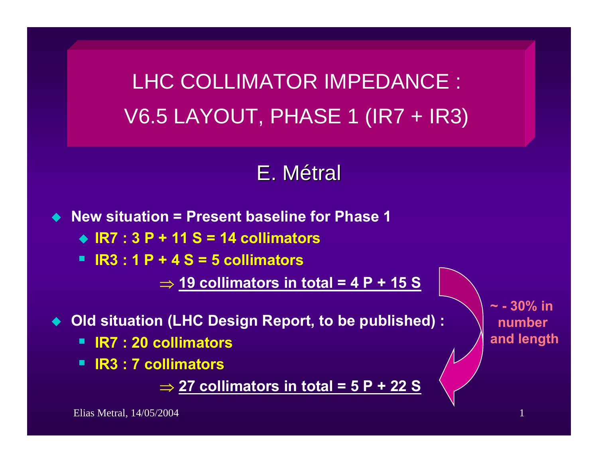LHC COLLIMATOR IMPEDANCE : V6.5 LAYOUT, PHASE 1 (IR7 + IR3)

## E. Métral

◆ New situation = Present baseline for Phase 1

**IR7 : 3 P + 11 S = 14 collimators**

**IR3 : 1 P + 4 S = 5 collimators**

⇒ **19 collimators in total = 4 P + 15 S**

**Old situation (LHC Design Report, to be published) :**

- **IR7 : 20 collimators**
- **IR3 : 7 collimators**

⇒ **27 collimators in total = 5 P + 22 S**

**~ - 30% in number and length**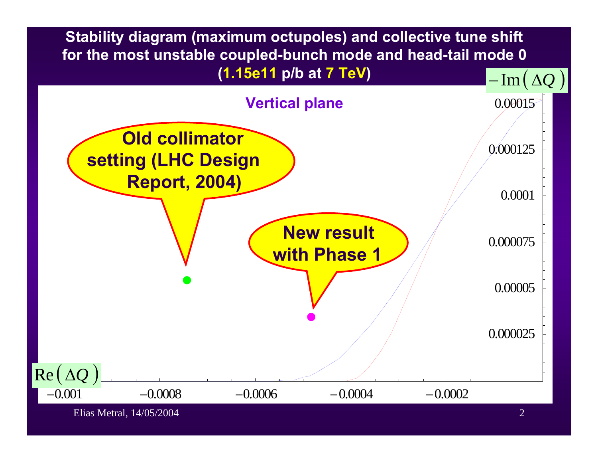**Stability diagram (maximum octupoles) and collective tune shift for the most unstable coupled-bunch mode and head-tail mode 0 (1.15e11 p/b at 7 TeV)** 

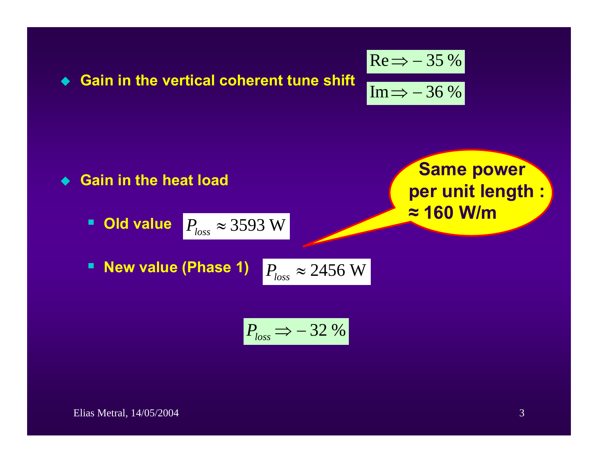